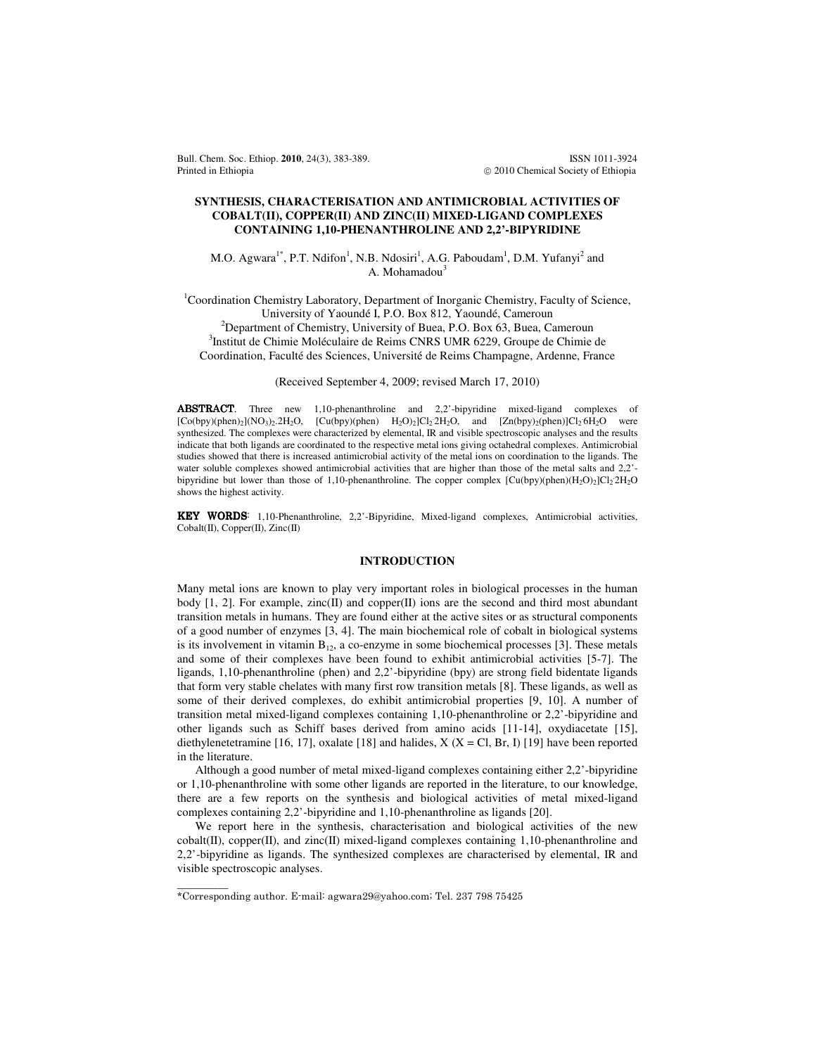Bull. Chem. Soc. Ethiop. **2010**, 24(3), 383-389. ISSN 1011-3924 Printed in Ethiopia **2010** Chemical Society of Ethiopia **2010** Chemical Society of Ethiopia

# **SYNTHESIS, CHARACTERISATION AND ANTIMICROBIAL ACTIVITIES OF COBALT(II), COPPER(II) AND ZINC(II) MIXED-LIGAND COMPLEXES CONTAINING 1,10-PHENANTHROLINE AND 2,2'-BIPYRIDINE**

M.O. Agwara<sup>1\*</sup>, P.T. Ndifon<sup>1</sup>, N.B. Ndosiri<sup>1</sup>, A.G. Paboudam<sup>1</sup>, D.M. Yufanyi<sup>2</sup> and A. Mohamadou<sup>3</sup>

<sup>1</sup>Coordination Chemistry Laboratory, Department of Inorganic Chemistry, Faculty of Science, University of Yaoundé I, P.O. Box 812, Yaoundé, Cameroun <sup>2</sup>Department of Chemistry, University of Buea, P.O. Box 63, Buea, Cameroun 3 Institut de Chimie Moléculaire de Reims CNRS UMR 6229, Groupe de Chimie de Coordination, Faculté des Sciences, Université de Reims Champagne, Ardenne, France

(Received September 4, 2009; revised March 17, 2010)

ABSTRACT. Three new 1,10-phenanthroline and 2,2'-bipyridine mixed-ligand complexes of  $[Co(bpy)(phen)_2](NO_3)_2.2H_2O$ ,  $[Cu(bpy)(phen) H_2O)_2]Cl_22H_2O$ , and  $[Zn(bpy)(phen)]Cl_26H_2O$  were synthesized. The complexes were characterized by elemental, IR and visible spectroscopic analyses and the results indicate that both ligands are coordinated to the respective metal ions giving octahedral complexes. Antimicrobial studies showed that there is increased antimicrobial activity of the metal ions on coordination to the ligands. The water soluble complexes showed antimicrobial activities that are higher than those of the metal salts and 2,2'bipyridine but lower than those of 1,10-phenanthroline. The copper complex  $\left[ Cu(bpy)(phen)(H_2O)_2|Cl_22H_2O \right]$ shows the highest activity.

KEY WORDS: 1,10-Phenanthroline, 2,2'-Bipyridine, Mixed-ligand complexes, Antimicrobial activities, Cobalt(II), Copper(II), Zinc(II)

# **INTRODUCTION**

Many metal ions are known to play very important roles in biological processes in the human body [1, 2]. For example, zinc(II) and copper(II) ions are the second and third most abundant transition metals in humans. They are found either at the active sites or as structural components of a good number of enzymes [3, 4]. The main biochemical role of cobalt in biological systems is its involvement in vitamin  $B_{12}$ , a co-enzyme in some biochemical processes [3]. These metals and some of their complexes have been found to exhibit antimicrobial activities [5-7]. The ligands, 1,10-phenanthroline (phen) and 2,2'-bipyridine (bpy) are strong field bidentate ligands that form very stable chelates with many first row transition metals [8]. These ligands, as well as some of their derived complexes, do exhibit antimicrobial properties [9, 10]. A number of transition metal mixed-ligand complexes containing 1,10-phenanthroline or 2,2'-bipyridine and other ligands such as Schiff bases derived from amino acids [11-14], oxydiacetate [15], diethylenetetramine [16, 17], oxalate [18] and halides,  $X$  ( $X = Cl$ , Br, I) [19] have been reported in the literature.

 Although a good number of metal mixed-ligand complexes containing either 2,2'-bipyridine or 1,10-phenanthroline with some other ligands are reported in the literature, to our knowledge, there are a few reports on the synthesis and biological activities of metal mixed-ligand complexes containing 2,2'-bipyridine and 1,10-phenanthroline as ligands [20].

 We report here in the synthesis, characterisation and biological activities of the new  $\text{cobalt(II)}$ , copper(II), and zinc(II) mixed-ligand complexes containing 1,10-phenanthroline and 2,2'-bipyridine as ligands. The synthesized complexes are characterised by elemental, IR and visible spectroscopic analyses.

 $\overline{\phantom{a}}$ 

<sup>\*</sup>Corresponding author. E-mail: agwara29@yahoo.com; Tel. 237 798 75425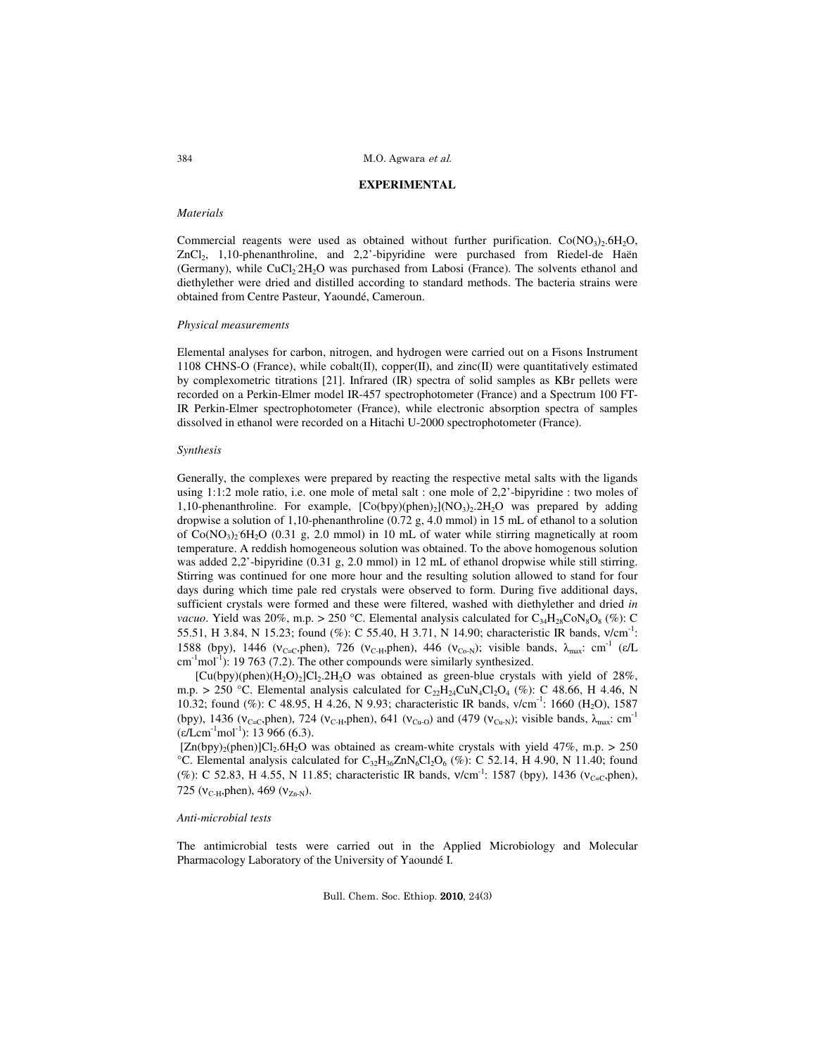#### **EXPERIMENTAL**

# *Materials*

Commercial reagents were used as obtained without further purification.  $Co(NO<sub>3</sub>)<sub>2</sub>·6H<sub>2</sub>O$ , ZnCl<sub>2</sub>, 1,10-phenanthroline, and 2,2'-bipyridine were purchased from Riedel-de Haën (Germany), while CuCl<sub>2</sub> 2H<sub>2</sub>O was purchased from Labosi (France). The solvents ethanol and diethylether were dried and distilled according to standard methods. The bacteria strains were obtained from Centre Pasteur, Yaoundé, Cameroun.

## *Physical measurements*

Elemental analyses for carbon, nitrogen, and hydrogen were carried out on a Fisons Instrument 1108 CHNS-O (France), while cobalt(II), copper(II), and zinc(II) were quantitatively estimated by complexometric titrations [21]. Infrared (IR) spectra of solid samples as KBr pellets were recorded on a Perkin-Elmer model IR-457 spectrophotometer (France) and a Spectrum 100 FT-IR Perkin-Elmer spectrophotometer (France), while electronic absorption spectra of samples dissolved in ethanol were recorded on a Hitachi U-2000 spectrophotometer (France).

#### *Synthesis*

Generally, the complexes were prepared by reacting the respective metal salts with the ligands using 1:1:2 mole ratio, i.e. one mole of metal salt : one mole of 2,2'-bipyridine : two moles of 1,10-phenanthroline. For example,  $[Co(bpy)(phen)_2](NO_3)_2.2H_2O$  was prepared by adding dropwise a solution of 1,10-phenanthroline (0.72 g, 4.0 mmol) in 15 mL of ethanol to a solution of Co(NO<sub>3</sub>)<sub>2</sub> 6H<sub>2</sub>O (0.31 g, 2.0 mmol) in 10 mL of water while stirring magnetically at room temperature. A reddish homogeneous solution was obtained. To the above homogenous solution was added 2,2'-bipyridine (0.31 g, 2.0 mmol) in 12 mL of ethanol dropwise while still stirring. Stirring was continued for one more hour and the resulting solution allowed to stand for four days during which time pale red crystals were observed to form. During five additional days, sufficient crystals were formed and these were filtered, washed with diethylether and dried *in vacuo*. Yield was 20%, m.p. > 250 °C. Elemental analysis calculated for  $C_{34}H_{28}CoN_8O_8$  (%): C 55.51, H 3.84, N 15.23; found (%): C 55.40, H 3.71, N 14.90; characteristic IR bands, v/cm<sup>-1</sup>: 1588 (bpy), 1446 (v<sub>C=C</sub>,phen), 726 (v<sub>C-H</sub>,phen), 446 (v<sub>Co-N</sub>); visible bands, λ<sub>max</sub>: cm<sup>-1</sup> (ε/L  $\text{cm}^{-1}\text{mol}^{-1}$ : 19 763 (7.2). The other compounds were similarly synthesized.

[Cu(bpy)(phen)( $H_2O$ )<sub>2</sub>]Cl<sub>2</sub>.2H<sub>2</sub>O was obtained as green-blue crystals with yield of 28%, m.p. > 250 °C. Elemental analysis calculated for  $C_{22}H_{24}CuN_{4}Cl_{2}O_{4}$  (%): C 48.66, H 4.46, N 10.32; found (%): C 48.95, H 4.26, N 9.93; characteristic IR bands, v/cm<sup>-1</sup>: 1660 (H<sub>2</sub>O), 1587 (bpy), 1436 ( $v_{\text{C=C}},$ phen), 724 ( $v_{\text{C-H}}$ ,phen), 641 ( $v_{\text{Cu-O}}$ ) and (479 ( $v_{\text{Cu-N}}$ ); visible bands,  $\lambda_{\text{max}}$ : cm<sup>-1</sup>  $(\varepsilon/Lcm^{-1}mol^{-1})$ : 13 966 (6.3).

 $[Zn(bpy)_2(phen)]Cl_2.6H_2O$  was obtained as cream-white crystals with yield 47%, m.p. > 250 °C. Elemental analysis calculated for  $C_{32}H_{36}ZnN_6Cl_2O_6$  (%): C 52.14, H 4.90, N 11.40; found (%): C 52.83, H 4.55, N 11.85; characteristic IR bands,  $v/cm^{-1}$ : 1587 (bpy), 1436 ( $v_{C=C}$ , phen), 725 ( $v_{\text{C-H}}$ , phen), 469 ( $v_{\text{Zn-N}}$ ).

### *Anti-microbial tests*

The antimicrobial tests were carried out in the Applied Microbiology and Molecular Pharmacology Laboratory of the University of Yaoundé I.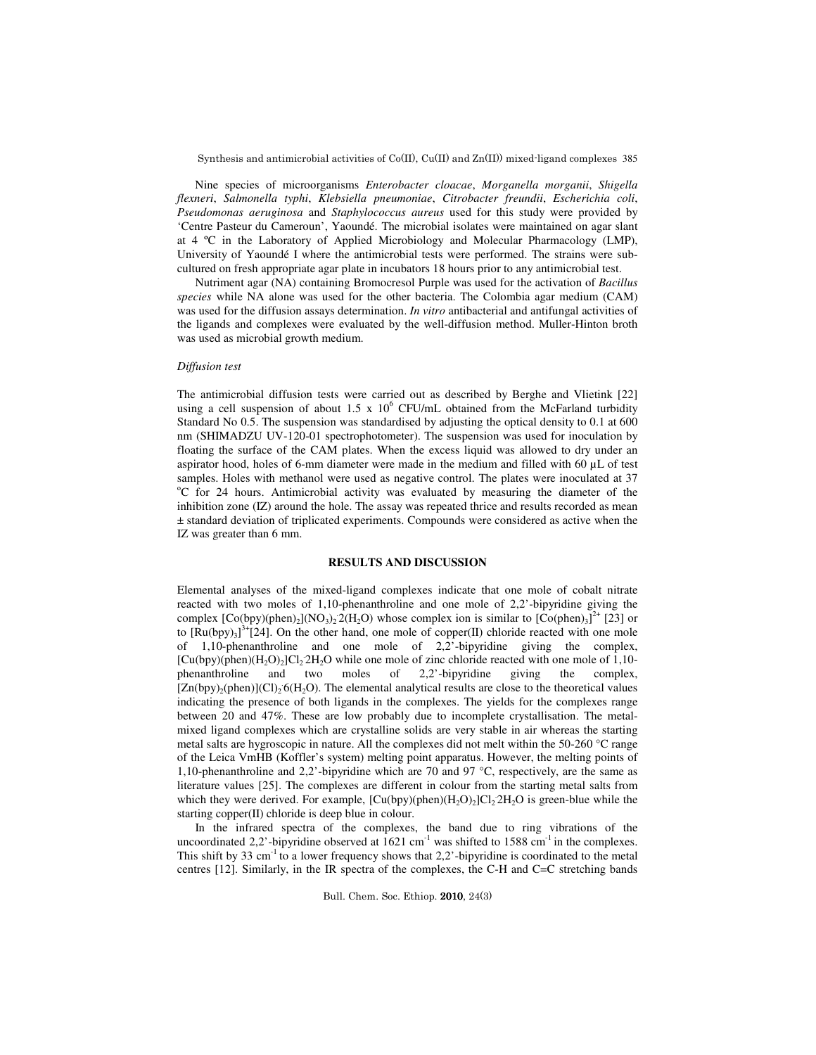Synthesis and antimicrobial activities of Co(II), Cu(II) and Zn(II)) mixed-ligand complexes 385

 Nine species of microorganisms *Enterobacter cloacae*, *Morganella morganii*, *Shigella flexneri*, *Salmonella typhi*, *Klebsiella pneumoniae*, *Citrobacter freundii*, *Escherichia coli*, *Pseudomonas aeruginosa* and *Staphylococcus aureus* used for this study were provided by 'Centre Pasteur du Cameroun', Yaoundé. The microbial isolates were maintained on agar slant at 4 ºC in the Laboratory of Applied Microbiology and Molecular Pharmacology (LMP), University of Yaoundé I where the antimicrobial tests were performed. The strains were subcultured on fresh appropriate agar plate in incubators 18 hours prior to any antimicrobial test.

 Nutriment agar (NA) containing Bromocresol Purple was used for the activation of *Bacillus species* while NA alone was used for the other bacteria. The Colombia agar medium (CAM) was used for the diffusion assays determination. *In vitro* antibacterial and antifungal activities of the ligands and complexes were evaluated by the well-diffusion method. Muller-Hinton broth was used as microbial growth medium.

# *Diffusion test*

The antimicrobial diffusion tests were carried out as described by Berghe and Vlietink [22] using a cell suspension of about 1.5 x  $10^6$  CFU/mL obtained from the McFarland turbidity Standard No 0.5. The suspension was standardised by adjusting the optical density to 0.1 at 600 nm (SHIMADZU UV-120-01 spectrophotometer). The suspension was used for inoculation by floating the surface of the CAM plates. When the excess liquid was allowed to dry under an aspirator hood, holes of 6-mm diameter were made in the medium and filled with 60 µL of test samples. Holes with methanol were used as negative control. The plates were inoculated at 37 <sup>o</sup>C for 24 hours. Antimicrobial activity was evaluated by measuring the diameter of the inhibition zone (IZ) around the hole. The assay was repeated thrice and results recorded as mean ± standard deviation of triplicated experiments. Compounds were considered as active when the IZ was greater than 6 mm.

# **RESULTS AND DISCUSSION**

Elemental analyses of the mixed-ligand complexes indicate that one mole of cobalt nitrate reacted with two moles of 1,10-phenanthroline and one mole of 2,2'-bipyridine giving the complex  $[Co(bpy)(phen)_2](NO_3)_2^2(H_2O)$  whose complex ion is similar to  $[Co(phen)_3]^2$ <sup>+</sup> [23] or to  $[Ru(bpy)_3]^{3+}[24]$ . On the other hand, one mole of copper(II) chloride reacted with one mole of 1,10-phenanthroline and one mole of 2,2'-bipyridine giving the complex,  $[Cu(bpy)(phen)(H<sub>2</sub>O)<sub>2</sub>]Cl<sub>2</sub>2H<sub>2</sub>O while one mole of zinc chloride reacted with one mole of 1,10$ phenanthroline and two moles of 2,2'-bipyridine giving the complex,  $[Zn(bpy)_2(phen)](Cl)_2$  6(H<sub>2</sub>O). The elemental analytical results are close to the theoretical values indicating the presence of both ligands in the complexes. The yields for the complexes range between 20 and 47%. These are low probably due to incomplete crystallisation. The metalmixed ligand complexes which are crystalline solids are very stable in air whereas the starting metal salts are hygroscopic in nature. All the complexes did not melt within the 50-260 °C range of the Leica VmHB (Koffler's system) melting point apparatus. However, the melting points of 1,10-phenanthroline and 2,2'-bipyridine which are 70 and 97 °C, respectively, are the same as literature values [25]. The complexes are different in colour from the starting metal salts from which they were derived. For example,  $[Cu(bpy)(phen)(H_2O)_2]Cl_22H_2O$  is green-blue while the starting copper(II) chloride is deep blue in colour.

 In the infrared spectra of the complexes, the band due to ring vibrations of the uncoordinated 2,2'-bipyridine observed at  $1621 \text{ cm}^{-1}$  was shifted to 1588 cm<sup>-1</sup> in the complexes. This shift by 33 cm<sup>-1</sup> to a lower frequency shows that  $2.2$ <sup>2</sup>-bipyridine is coordinated to the metal centres [12]. Similarly, in the IR spectra of the complexes, the C-H and C=C stretching bands

Bull. Chem. Soc. Ethiop. 2010, 24(3)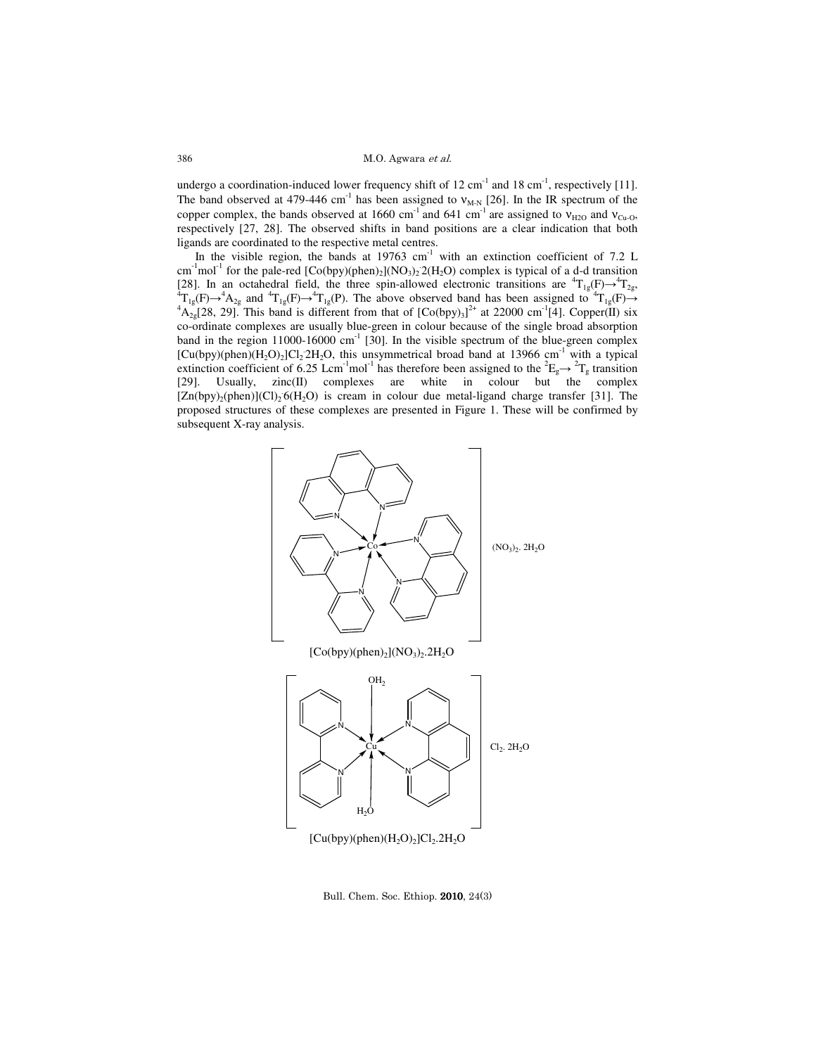M.O. Agwara et al.

undergo a coordination-induced lower frequency shift of  $12 \text{ cm}^{-1}$  and  $18 \text{ cm}^{-1}$ , respectively [11]. The band observed at 479-446 cm<sup>-1</sup> has been assigned to  $v_{M-N}$  [26]. In the IR spectrum of the copper complex, the bands observed at 1660 cm<sup>-1</sup> and 641 cm<sup>-1</sup> are assigned to  $v_{H2O}$  and  $v_{Cu-O}$ , respectively [27, 28]. The observed shifts in band positions are a clear indication that both ligands are coordinated to the respective metal centres.

In the visible region, the bands at  $19763$  cm<sup>-1</sup> with an extinction coefficient of 7.2 L cm<sup>-1</sup>mol<sup>-1</sup> for the pale-red  $[Co(bpy)(phen)_2](NO_3)_2$ <sup>2</sup>( $H_2O$ ) complex is typical of a d-d transition [28]. In an octahedral field, the three spin-allowed electronic transitions are  ${}^{4}T_{1g}(F) \rightarrow {}^{4}T_{2g}$ ,  ${}^{4}T_{1g}(F) \rightarrow {}^{4}A_{2g}$  and  ${}^{4}T_{1g}(F) \rightarrow {}^{4}T_{1g}(P)$ . The above observed band has been assigned to  ${}^{4}T_{1g}(F) \rightarrow {}^{4}A_{2g}[28, 29]$ . This band is different from that of  $[Co(bpy)_3]^{2+}$  at 22000 cm<sup>-1</sup>[4]. Copper(II) six co-ordinate complexes are usually blue-green in colour because of the single broad absorption band in the region 11000-16000 cm<sup>-1</sup> [30]. In the visible spectrum of the blue-green complex  $[Cu(bpy)(phen)(H<sub>2</sub>O)<sub>2</sub>]Cl<sub>2</sub>2H<sub>2</sub>O, this unsymmetrical broad band at 13966 cm<sup>-1</sup> with a typical$ extinction coefficient of 6.25 Lcm<sup>-1</sup>mol<sup>-1</sup> has therefore been assigned to the <sup>2</sup>E<sub>g</sub> $\rightarrow$  <sup>2</sup>T<sub>g</sub> transition [29]. Usually, zinc(II) complexes are white in colour but the complex  $[Zn(bpy)_2(phen)](Cl)_2$  6(H<sub>2</sub>O) is cream in colour due metal-ligand charge transfer [31]. The proposed structures of these complexes are presented in Figure 1. These will be confirmed by subsequent X-ray analysis.



Bull. Chem. Soc. Ethiop. 2010, 24(3)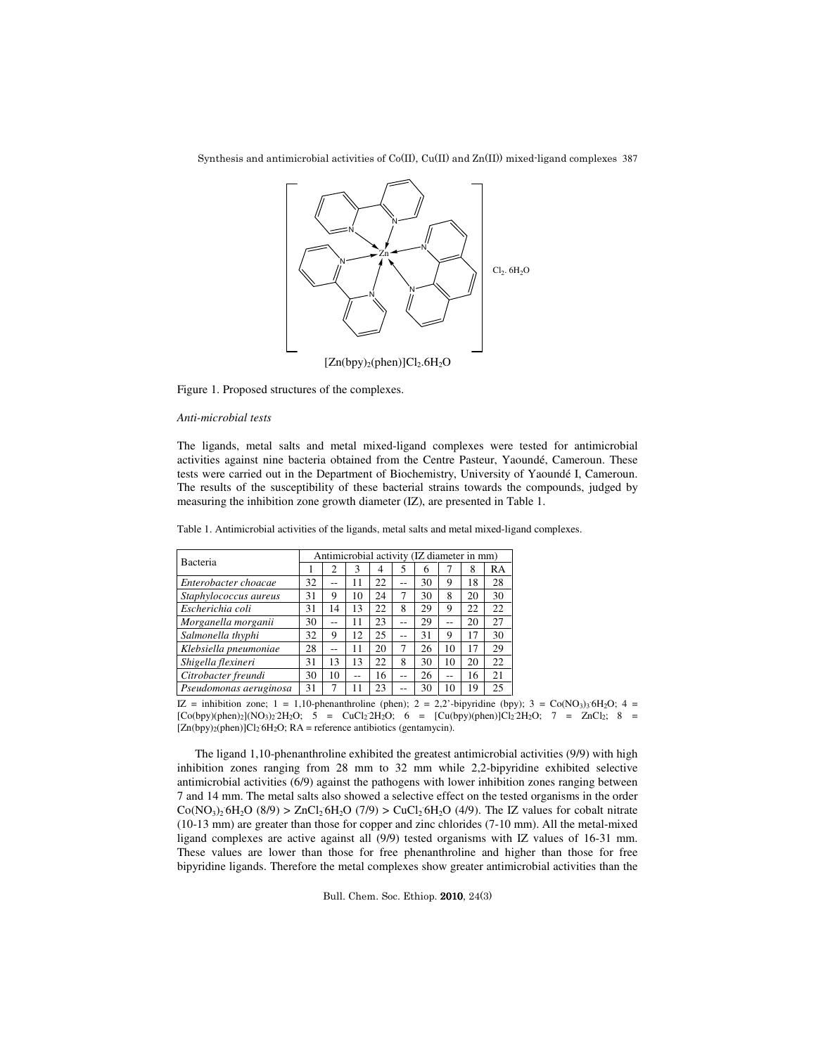Synthesis and antimicrobial activities of Co(II), Cu(II) and Zn(II)) mixed-ligand complexes 387



Figure 1. Proposed structures of the complexes.

## *Anti-microbial tests*

The ligands, metal salts and metal mixed-ligand complexes were tested for antimicrobial activities against nine bacteria obtained from the Centre Pasteur, Yaoundé, Cameroun. These tests were carried out in the Department of Biochemistry, University of Yaoundé I, Cameroun. The results of the susceptibility of these bacterial strains towards the compounds, judged by measuring the inhibition zone growth diameter (IZ), are presented in Table 1.

| <b>Bacteria</b> |  | Antimicrobial activity (IZ diameter in mm) |  |  |  |
|-----------------|--|--------------------------------------------|--|--|--|
|                 |  |                                            |  |  |  |

Table 1. Antimicrobial activities of the ligands, metal salts and metal mixed-ligand complexes.

| Bacteria               | Antimicrobial activity (IZ diameter in mm) |    |    |    |    |    |    |    |    |  |  |
|------------------------|--------------------------------------------|----|----|----|----|----|----|----|----|--|--|
|                        |                                            |    | 3  | 4  |    | 6  |    | 8  | RA |  |  |
| Enterobacter choacae   | 32                                         | -- | 11 | 22 | -- | 30 | 9  | 18 | 28 |  |  |
| Staphylococcus aureus  | 31                                         | 9  | 10 | 24 |    | 30 | 8  | 20 | 30 |  |  |
| Escherichia coli       | 31                                         | 14 | 13 | 22 | 8  | 29 | 9  | 22 | 22 |  |  |
| Morganella morganii    | 30                                         | -- | 11 | 23 | -- | 29 |    | 20 | 27 |  |  |
| Salmonella thyphi      | 32                                         | 9  | 12 | 25 | -- | 31 | 9  | 17 | 30 |  |  |
| Klebsiella pneumoniae  | 28                                         | -- | 11 | 20 |    | 26 | 10 | 17 | 29 |  |  |
| Shigella flexineri     | 31                                         | 13 | 13 | 22 | 8  | 30 | 10 | 20 | 22 |  |  |
| Citrobacter freundi    | 30                                         | 10 | -- | 16 |    | 26 |    | 16 | 21 |  |  |
| Pseudomonas aeruginosa | 31                                         |    |    | 23 |    | 30 | 10 | 19 | 25 |  |  |

IZ = inhibition zone; 1 = 1,10-phenanthroline (phen); 2 = 2,2'-bipyridine (bpy); 3 = Co(NO<sub>3</sub>)<sub>3</sub>'6H<sub>2</sub>O; 4 =  $[Co(bpy)(phen)_2](NO_3)_2'2H_2O; \quad 5 = CuCl_2'2H_2O; \quad 6 = [Cu(bpy)(phen)]Cl_2'2H_2O; \quad 7 = ZnCl_2; \quad 8 = Cl_2$  $[Zn(bpy)_2(phen)]Cl_2 6H_2O$ ; RA = reference antibiotics (gentamycin).

The ligand 1,10-phenanthroline exhibited the greatest antimicrobial activities (9/9) with high inhibition zones ranging from 28 mm to 32 mm while 2,2-bipyridine exhibited selective antimicrobial activities (6/9) against the pathogens with lower inhibition zones ranging between 7 and 14 mm. The metal salts also showed a selective effect on the tested organisms in the order  $Co(NO<sub>3</sub>)<sub>2</sub> 6H<sub>2</sub>O (8/9) > ZnCl<sub>2</sub> 6H<sub>2</sub>O (7/9) > CuCl<sub>2</sub> 6H<sub>2</sub>O (4/9).$  The IZ values for cobalt nitrate (10-13 mm) are greater than those for copper and zinc chlorides (7-10 mm). All the metal-mixed ligand complexes are active against all (9/9) tested organisms with IZ values of 16-31 mm. These values are lower than those for free phenanthroline and higher than those for free bipyridine ligands. Therefore the metal complexes show greater antimicrobial activities than the

Bull. Chem. Soc. Ethiop. 2010, 24(3)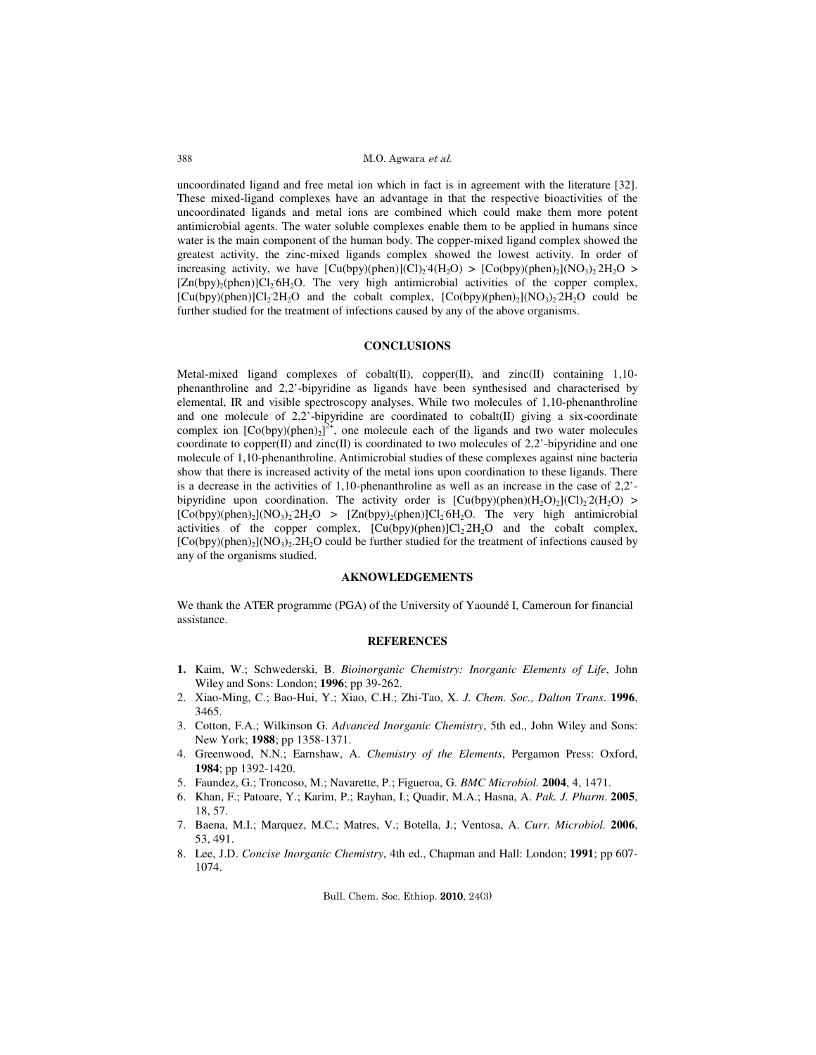#### M.O. Agwara et al.

uncoordinated ligand and free metal ion which in fact is in agreement with the literature [32]. These mixed-ligand complexes have an advantage in that the respective bioactivities of the uncoordinated ligands and metal ions are combined which could make them more potent antimicrobial agents. The water soluble complexes enable them to be applied in humans since water is the main component of the human body. The copper-mixed ligand complex showed the greatest activity, the zinc-mixed ligands complex showed the lowest activity. In order of increasing activity, we have  $[Cu(bpy)(phen)](Cl)_24(H_2O) > [Co(bpy)(phen)_2](NO_3)_22H_2O >$ [Zn(bpy)<sub>2</sub>(phen)]Cl<sub>2</sub> 6H<sub>2</sub>O. The very high antimicrobial activities of the copper complex,  $[Cu(bpy)(phen)]Cl<sub>2</sub>2H<sub>2</sub>O$  and the cobalt complex,  $[Co(bpy)(phen)<sub>2</sub>](NO<sub>3</sub>)<sub>2</sub>2H<sub>2</sub>O$  could be further studied for the treatment of infections caused by any of the above organisms.

#### **CONCLUSIONS**

Metal-mixed ligand complexes of cobalt(II), copper(II), and zinc(II) containing 1,10 phenanthroline and 2,2'-bipyridine as ligands have been synthesised and characterised by elemental, IR and visible spectroscopy analyses. While two molecules of 1,10-phenanthroline and one molecule of  $2,2$ '-bipyridine are coordinated to cobalt(II) giving a six-coordinate complex ion  $[Co(bpy)(phen)_2]^2$ <sup>+</sup>, one molecule each of the ligands and two water molecules coordinate to copper $(II)$  and zinc $(II)$  is coordinated to two molecules of 2,2'-bipyridine and one molecule of 1,10-phenanthroline. Antimicrobial studies of these complexes against nine bacteria show that there is increased activity of the metal ions upon coordination to these ligands. There is a decrease in the activities of 1,10-phenanthroline as well as an increase in the case of 2,2' bipyridine upon coordination. The activity order is  $[Cu(bpy)(phen)(H_2O)_2(C1)_2(2(H_2O) >$  $[Co(bpy)(phen)<sub>2</sub>](NO<sub>3</sub>)<sub>2</sub> 2H<sub>2</sub>O > [Zn(bpy)<sub>2</sub>(phen)]Cl<sub>2</sub> 6H<sub>2</sub>O. The very high antimicrobial$ activities of the copper complex,  $[Cu(bpy)(phen)]Cl<sub>2</sub>2H<sub>2</sub>O$  and the cobalt complex,  $[Co(bpy)(phen)<sub>2</sub>](NO<sub>3</sub>)<sub>2</sub>$ .  $2H<sub>2</sub>O$  could be further studied for the treatment of infections caused by any of the organisms studied.

# **AKNOWLEDGEMENTS**

We thank the ATER programme (PGA) of the University of Yaoundé I, Cameroun for financial assistance.

## **REFERENCES**

- **1.** Kaim, W.; Schwederski, B. *Bioinorganic Chemistry: Inorganic Elements of Life*, John Wiley and Sons: London; **1996**; pp 39-262.
- 2. Xiao-Ming, C.; Bao-Hui, Y.; Xiao, C.H.; Zhi-Tao, X. *J. Chem. Soc., Dalton Trans*. **1996**, 3465.
- 3. Cotton, F.A.; Wilkinson G. *Advanced Inorganic Chemistry*, 5th ed., John Wiley and Sons: New York; **1988**; pp 1358-1371.
- 4. Greenwood, N.N.; Earnshaw, A. *Chemistry of the Elements*, Pergamon Press: Oxford, **1984**; pp 1392-1420.
- 5. Faundez, G.; Troncoso, M.; Navarette, P.; Figueroa, G. *BMC Microbiol.* **2004**, 4, 1471.
- 6. Khan, F.; Patoare, Y.; Karim, P.; Rayhan, I.; Quadir, M.A.; Hasna, A. *Pak. J. Pharm*. **2005**, 18, 57.
- 7. Baena, M.I.; Marquez, M.C.; Matres, V.; Botella, J.; Ventosa, A. *Curr. Microbiol.* **2006**, 53, 491.
- 8. Lee, J.D. *Concise Inorganic Chemistry*, 4th ed., Chapman and Hall: London; **1991**; pp 607- 1074.

Bull. Chem. Soc. Ethiop. 2010, 24(3)